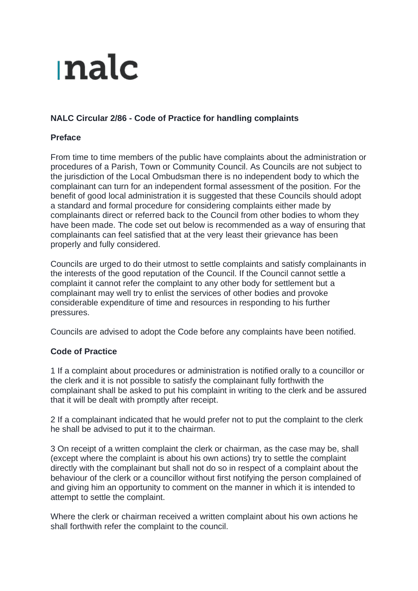## nalc

## **NALC Circular 2/86 - Code of Practice for handling complaints**

## **Preface**

From time to time members of the public have complaints about the administration or procedures of a Parish, Town or Community Council. As Councils are not subject to the jurisdiction of the Local Ombudsman there is no independent body to which the complainant can turn for an independent formal assessment of the position. For the benefit of good local administration it is suggested that these Councils should adopt a standard and formal procedure for considering complaints either made by complainants direct or referred back to the Council from other bodies to whom they have been made. The code set out below is recommended as a way of ensuring that complainants can feel satisfied that at the very least their grievance has been properly and fully considered.

Councils are urged to do their utmost to settle complaints and satisfy complainants in the interests of the good reputation of the Council. If the Council cannot settle a complaint it cannot refer the complaint to any other body for settlement but a complainant may well try to enlist the services of other bodies and provoke considerable expenditure of time and resources in responding to his further pressures.

Councils are advised to adopt the Code before any complaints have been notified.

## **Code of Practice**

1 If a complaint about procedures or administration is notified orally to a councillor or the clerk and it is not possible to satisfy the complainant fully forthwith the complainant shall be asked to put his complaint in writing to the clerk and be assured that it will be dealt with promptly after receipt.

2 If a complainant indicated that he would prefer not to put the complaint to the clerk he shall be advised to put it to the chairman.

3 On receipt of a written complaint the clerk or chairman, as the case may be, shall (except where the complaint is about his own actions) try to settle the complaint directly with the complainant but shall not do so in respect of a complaint about the behaviour of the clerk or a councillor without first notifying the person complained of and giving him an opportunity to comment on the manner in which it is intended to attempt to settle the complaint.

Where the clerk or chairman received a written complaint about his own actions he shall forthwith refer the complaint to the council.